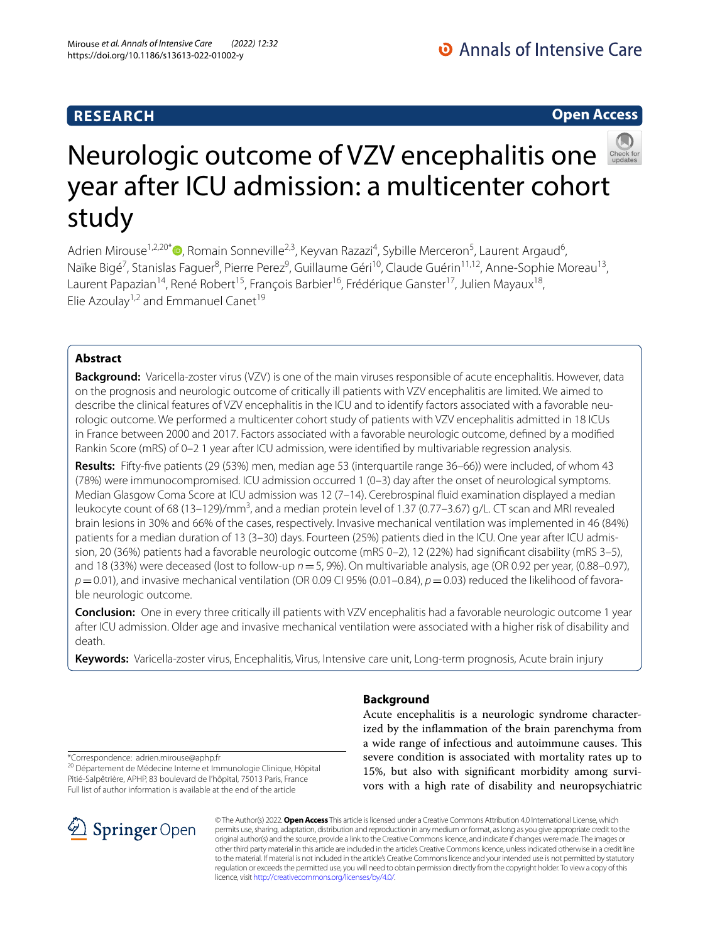# **RESEARCH**

# **Open Access**



# Neurologic outcome of VZV encephalitis one year after ICU admission: a multicenter cohort study

Adrien Mirouse<sup>1,2,20\*</sup>®[,](http://orcid.org/0000-0002-5755-8043) Romain Sonneville<sup>2,3</sup>, Keyvan Razazi<sup>4</sup>, Sybille Merceron<sup>5</sup>, Laurent Argaud<sup>6</sup>, Naïke Bigé<sup>7</sup>, Stanislas Faguer<sup>8</sup>, Pierre Perez<sup>9</sup>, Guillaume Géri<sup>10</sup>, Claude Guérin<sup>11,12</sup>, Anne-Sophie Moreau<sup>13</sup>, Laurent Papazian<sup>14</sup>, René Robert<sup>15</sup>, François Barbier<sup>16</sup>, Frédérique Ganster<sup>17</sup>, Julien Mayaux<sup>18</sup>, Elie Azoulay<sup>1,2</sup> and Emmanuel Canet<sup>19</sup>

# **Abstract**

**Background:** Varicella-zoster virus (VZV) is one of the main viruses responsible of acute encephalitis. However, data on the prognosis and neurologic outcome of critically ill patients with VZV encephalitis are limited. We aimed to describe the clinical features of VZV encephalitis in the ICU and to identify factors associated with a favorable neurologic outcome. We performed a multicenter cohort study of patients with VZV encephalitis admitted in 18 ICUs in France between 2000 and 2017. Factors associated with a favorable neurologic outcome, defned by a modifed Rankin Score (mRS) of 0–2 1 year after ICU admission, were identifed by multivariable regression analysis.

**Results:** Fifty-fve patients (29 (53%) men, median age 53 (interquartile range 36–66)) were included, of whom 43 (78%) were immunocompromised. ICU admission occurred 1 (0–3) day after the onset of neurological symptoms. Median Glasgow Coma Score at ICU admission was 12 (7–14). Cerebrospinal fuid examination displayed a median leukocyte count of 68 (13–129)/mm<sup>3</sup>, and a median protein level of 1.37 (0.77–3.67) g/L. CT scan and MRI revealed brain lesions in 30% and 66% of the cases, respectively. Invasive mechanical ventilation was implemented in 46 (84%) patients for a median duration of 13 (3–30) days. Fourteen (25%) patients died in the ICU. One year after ICU admission, 20 (36%) patients had a favorable neurologic outcome (mRS 0–2), 12 (22%) had signifcant disability (mRS 3–5), and 18 (33%) were deceased (lost to follow-up *n*=5, 9%). On multivariable analysis, age (OR 0.92 per year, (0.88–0.97),  $p$ =0.01), and invasive mechanical ventilation (OR 0.09 CI 95% (0.01–0.84),  $p$  = 0.03) reduced the likelihood of favorable neurologic outcome.

**Conclusion:** One in every three critically ill patients with VZV encephalitis had a favorable neurologic outcome 1 year after ICU admission. Older age and invasive mechanical ventilation were associated with a higher risk of disability and death.

**Keywords:** Varicella-zoster virus, Encephalitis, Virus, Intensive care unit, Long-term prognosis, Acute brain injury

# **Background**

Acute encephalitis is a neurologic syndrome characterized by the infammation of the brain parenchyma from a wide range of infectious and autoimmune causes. This severe condition is associated with mortality rates up to 15%, but also with signifcant morbidity among survivors with a high rate of disability and neuropsychiatric

\*Correspondence: adrien.mirouse@aphp.fr

<sup>20</sup> Département de Médecine Interne et Immunologie Clinique, Hôpital Pitié-Salpêtrière, APHP, 83 boulevard de l'hôpital, 75013 Paris, France Full list of author information is available at the end of the article



© The Author(s) 2022. **Open Access** This article is licensed under a Creative Commons Attribution 4.0 International License, which permits use, sharing, adaptation, distribution and reproduction in any medium or format, as long as you give appropriate credit to the original author(s) and the source, provide a link to the Creative Commons licence, and indicate if changes were made. The images or other third party material in this article are included in the article's Creative Commons licence, unless indicated otherwise in a credit line to the material. If material is not included in the article's Creative Commons licence and your intended use is not permitted by statutory regulation or exceeds the permitted use, you will need to obtain permission directly from the copyright holder. To view a copy of this licence, visit [http://creativecommons.org/licenses/by/4.0/.](http://creativecommons.org/licenses/by/4.0/)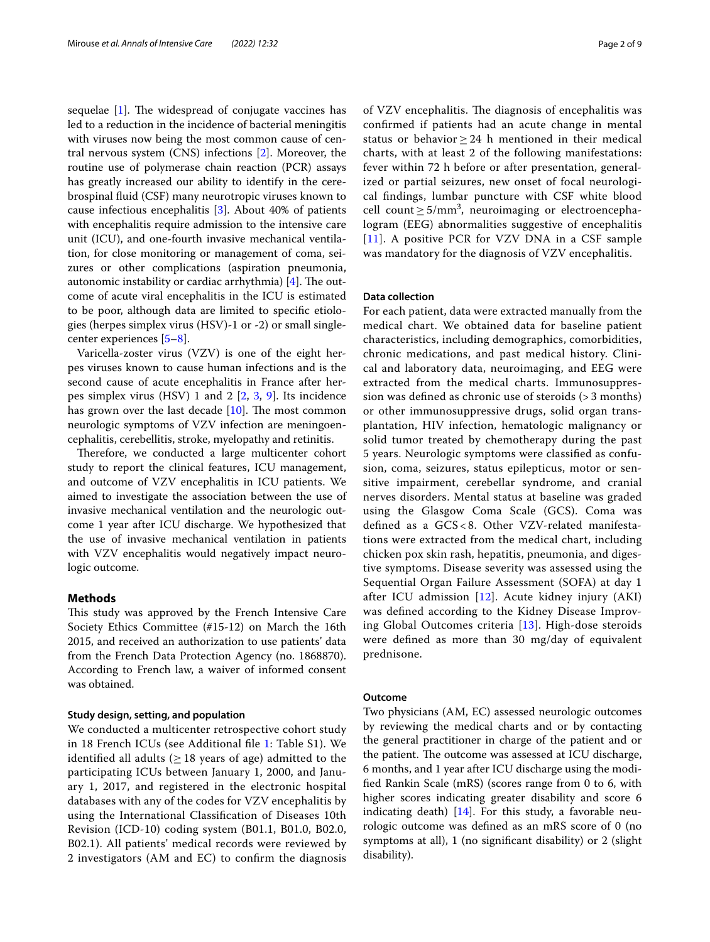sequelae  $[1]$  $[1]$ . The widespread of conjugate vaccines has led to a reduction in the incidence of bacterial meningitis with viruses now being the most common cause of central nervous system (CNS) infections [\[2](#page-7-1)]. Moreover, the routine use of polymerase chain reaction (PCR) assays has greatly increased our ability to identify in the cerebrospinal fuid (CSF) many neurotropic viruses known to cause infectious encephalitis [\[3](#page-8-0)]. About 40% of patients with encephalitis require admission to the intensive care unit (ICU), and one-fourth invasive mechanical ventilation, for close monitoring or management of coma, seizures or other complications (aspiration pneumonia, autonomic instability or cardiac arrhythmia)  $[4]$  $[4]$ . The outcome of acute viral encephalitis in the ICU is estimated to be poor, although data are limited to specifc etiologies (herpes simplex virus (HSV)-1 or -2) or small singlecenter experiences [\[5–](#page-8-2)[8\]](#page-8-3).

Varicella-zoster virus (VZV) is one of the eight herpes viruses known to cause human infections and is the second cause of acute encephalitis in France after herpes simplex virus (HSV) 1 and 2 [\[2,](#page-7-1) [3,](#page-8-0) [9](#page-8-4)]. Its incidence has grown over the last decade  $[10]$ . The most common neurologic symptoms of VZV infection are meningoencephalitis, cerebellitis, stroke, myelopathy and retinitis.

Therefore, we conducted a large multicenter cohort study to report the clinical features, ICU management, and outcome of VZV encephalitis in ICU patients. We aimed to investigate the association between the use of invasive mechanical ventilation and the neurologic outcome 1 year after ICU discharge. We hypothesized that the use of invasive mechanical ventilation in patients with VZV encephalitis would negatively impact neurologic outcome.

#### **Methods**

This study was approved by the French Intensive Care Society Ethics Committee (#15-12) on March the 16th 2015, and received an authorization to use patients' data from the French Data Protection Agency (no. 1868870). According to French law, a waiver of informed consent was obtained.

## **Study design, setting, and population**

We conducted a multicenter retrospective cohort study in 18 French ICUs (see Additional fle [1:](#page-7-2) Table S1). We identified all adults ( $\geq$  18 years of age) admitted to the participating ICUs between January 1, 2000, and January 1, 2017, and registered in the electronic hospital databases with any of the codes for VZV encephalitis by using the International Classifcation of Diseases 10th Revision (ICD-10) coding system (B01.1, B01.0, B02.0, B02.1). All patients' medical records were reviewed by 2 investigators (AM and EC) to confrm the diagnosis of VZV encephalitis. The diagnosis of encephalitis was confrmed if patients had an acute change in mental status or behavior  $\geq$  24 h mentioned in their medical charts, with at least 2 of the following manifestations: fever within 72 h before or after presentation, generalized or partial seizures, new onset of focal neurological fndings, lumbar puncture with CSF white blood cell count  $\geq 5/\text{mm}^3$ , neuroimaging or electroencephalogram (EEG) abnormalities suggestive of encephalitis [[11](#page-8-6)]. A positive PCR for VZV DNA in a CSF sample was mandatory for the diagnosis of VZV encephalitis.

## **Data collection**

For each patient, data were extracted manually from the medical chart. We obtained data for baseline patient characteristics, including demographics, comorbidities, chronic medications, and past medical history. Clinical and laboratory data, neuroimaging, and EEG were extracted from the medical charts. Immunosuppression was defned as chronic use of steroids (> 3 months) or other immunosuppressive drugs, solid organ transplantation, HIV infection, hematologic malignancy or solid tumor treated by chemotherapy during the past 5 years. Neurologic symptoms were classifed as confusion, coma, seizures, status epilepticus, motor or sensitive impairment, cerebellar syndrome, and cranial nerves disorders. Mental status at baseline was graded using the Glasgow Coma Scale (GCS). Coma was defned as a GCS < 8. Other VZV-related manifestations were extracted from the medical chart, including chicken pox skin rash, hepatitis, pneumonia, and digestive symptoms. Disease severity was assessed using the Sequential Organ Failure Assessment (SOFA) at day 1 after ICU admission [[12](#page-8-7)]. Acute kidney injury (AKI) was defned according to the Kidney Disease Improving Global Outcomes criteria [\[13](#page-8-8)]. High-dose steroids were defned as more than 30 mg/day of equivalent prednisone.

#### **Outcome**

Two physicians (AM, EC) assessed neurologic outcomes by reviewing the medical charts and or by contacting the general practitioner in charge of the patient and or the patient. The outcome was assessed at ICU discharge, 6 months, and 1 year after ICU discharge using the modifed Rankin Scale (mRS) (scores range from 0 to 6, with higher scores indicating greater disability and score 6 indicating death)  $[14]$  $[14]$  $[14]$ . For this study, a favorable neurologic outcome was defned as an mRS score of 0 (no symptoms at all), 1 (no signifcant disability) or 2 (slight disability).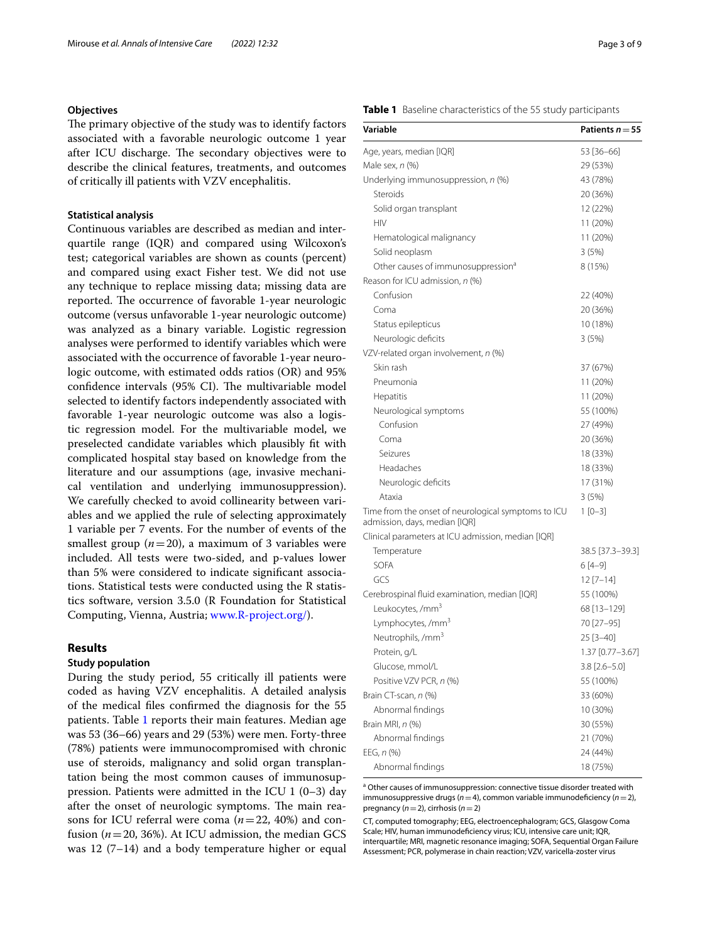# **Objectives**

The primary objective of the study was to identify factors associated with a favorable neurologic outcome 1 year after ICU discharge. The secondary objectives were to describe the clinical features, treatments, and outcomes of critically ill patients with VZV encephalitis.

# **Statistical analysis**

Continuous variables are described as median and interquartile range (IQR) and compared using Wilcoxon's test; categorical variables are shown as counts (percent) and compared using exact Fisher test. We did not use any technique to replace missing data; missing data are reported. The occurrence of favorable 1-year neurologic outcome (versus unfavorable 1-year neurologic outcome) was analyzed as a binary variable. Logistic regression analyses were performed to identify variables which were associated with the occurrence of favorable 1-year neurologic outcome, with estimated odds ratios (OR) and 95% confidence intervals (95% CI). The multivariable model selected to identify factors independently associated with favorable 1-year neurologic outcome was also a logistic regression model. For the multivariable model, we preselected candidate variables which plausibly ft with complicated hospital stay based on knowledge from the literature and our assumptions (age, invasive mechanical ventilation and underlying immunosuppression). We carefully checked to avoid collinearity between variables and we applied the rule of selecting approximately 1 variable per 7 events. For the number of events of the smallest group  $(n=20)$ , a maximum of 3 variables were included. All tests were two-sided, and p-values lower than 5% were considered to indicate signifcant associations. Statistical tests were conducted using the R statistics software, version 3.5.0 (R Foundation for Statistical Computing, Vienna, Austria; [www.R-project.org/\)](http://www.R-project.org/).

# **Results**

# **Study population**

During the study period, 55 critically ill patients were coded as having VZV encephalitis. A detailed analysis of the medical fles confrmed the diagnosis for the 55 patients. Table [1](#page-2-0) reports their main features. Median age was 53 (36–66) years and 29 (53%) were men. Forty-three (78%) patients were immunocompromised with chronic use of steroids, malignancy and solid organ transplantation being the most common causes of immunosuppression. Patients were admitted in the ICU 1 (0–3) day after the onset of neurologic symptoms. The main reasons for ICU referral were coma (*n*=22, 40%) and confusion  $(n=20, 36%)$ . At ICU admission, the median GCS was 12 (7–14) and a body temperature higher or equal

#### <span id="page-2-0"></span>**Table 1** Baseline characteristics of the 55 study participants

| Variable                                                                             | Patients $n = 55$ |
|--------------------------------------------------------------------------------------|-------------------|
| Age, years, median [IQR]                                                             | 53 [36-66]        |
| Male sex, n (%)                                                                      | 29 (53%)          |
| Underlying immunosuppression, n (%)                                                  | 43 (78%)          |
| Steroids                                                                             | 20 (36%)          |
| Solid organ transplant                                                               | 12 (22%)          |
| <b>HIV</b>                                                                           | 11 (20%)          |
| Hematological malignancy                                                             | 11 (20%)          |
| Solid neoplasm                                                                       | 3(5%)             |
| Other causes of immunosuppression <sup>a</sup>                                       | 8 (15%)           |
| Reason for ICU admission, n (%)                                                      |                   |
| Confusion                                                                            | 22 (40%)          |
| Coma                                                                                 | 20 (36%)          |
| Status epilepticus                                                                   | 10 (18%)          |
| Neurologic deficits                                                                  | 3 (5%)            |
| VZV-related organ involvement, n (%)                                                 |                   |
| Skin rash                                                                            | 37 (67%)          |
| Pneumonia                                                                            | 11 (20%)          |
| Hepatitis                                                                            | 11 (20%)          |
| Neurological symptoms                                                                | 55 (100%)         |
| Confusion                                                                            | 27 (49%)          |
| Coma                                                                                 | 20 (36%)          |
| Seizures                                                                             | 18 (33%)          |
| Headaches                                                                            | 18 (33%)          |
| Neurologic deficits                                                                  | 17 (31%)          |
| Ataxia                                                                               | 3(5%)             |
| Time from the onset of neurological symptoms to ICU<br>admission, days, median [IQR] | $1[0-3]$          |
| Clinical parameters at ICU admission, median [IQR]                                   |                   |
| Temperature                                                                          | 38.5 [37.3–39.3]  |
| <b>SOFA</b>                                                                          | $6[4-9]$          |
| GCS                                                                                  | $12$ [7-14]       |
| Cerebrospinal fluid examination, median [IQR]                                        | 55 (100%)         |
| Leukocytes, /mm <sup>3</sup>                                                         | 68 [13-129]       |
| Lymphocytes, /mm <sup>3</sup>                                                        | 70 [27-95]        |
| Neutrophils, /mm <sup>3</sup>                                                        | 25 [3-40]         |
| Protein, g/L                                                                         | 1.37 [0.77-3.67]  |
| Glucose, mmol/L                                                                      | 3.8 [2.6–5.0]     |
| Positive VZV PCR, n (%)                                                              | 55 (100%)         |
| Brain CT-scan, n (%)                                                                 | 33 (60%)          |
| Abnormal findings                                                                    | 10 (30%)          |
| Brain MRI, <i>n</i> (%)                                                              | 30 (55%)          |
| Abnormal findings                                                                    | 21 (70%)          |
| EEG, n (%)                                                                           | 24 (44%)          |
| Abnormal findings                                                                    | 18 (75%)          |

<sup>a</sup> Other causes of immunosuppression: connective tissue disorder treated with immunosuppressive drugs (*n*=4), common variable immunodefciency (*n*=2), pregnancy (*n*=2), cirrhosis (*n*=2)

CT, computed tomography; EEG, electroencephalogram; GCS, Glasgow Coma Scale; HIV, human immunodefciency virus; ICU, intensive care unit; IQR, interquartile; MRI, magnetic resonance imaging; SOFA, Sequential Organ Failure Assessment; PCR, polymerase in chain reaction; VZV, varicella-zoster virus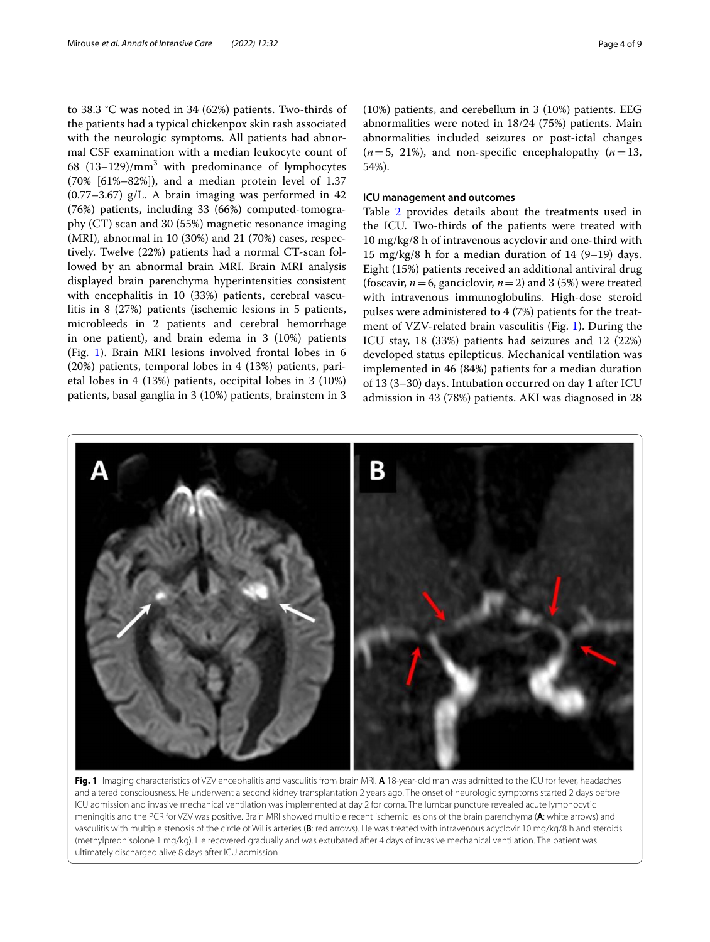to 38.3 °C was noted in 34 (62%) patients. Two-thirds of the patients had a typical chickenpox skin rash associated with the neurologic symptoms. All patients had abnormal CSF examination with a median leukocyte count of 68  $(13-129)/mm<sup>3</sup>$  with predominance of lymphocytes (70% [61%–82%]), and a median protein level of 1.37  $(0.77-3.67)$  g/L. A brain imaging was performed in 42 (76%) patients, including 33 (66%) computed-tomography (CT) scan and 30 (55%) magnetic resonance imaging (MRI), abnormal in 10 (30%) and 21 (70%) cases, respectively. Twelve (22%) patients had a normal CT-scan followed by an abnormal brain MRI. Brain MRI analysis displayed brain parenchyma hyperintensities consistent with encephalitis in 10 (33%) patients, cerebral vasculitis in 8 (27%) patients (ischemic lesions in 5 patients, microbleeds in 2 patients and cerebral hemorrhage in one patient), and brain edema in 3 (10%) patients (Fig. [1](#page-3-0)). Brain MRI lesions involved frontal lobes in 6 (20%) patients, temporal lobes in 4 (13%) patients, parietal lobes in 4 (13%) patients, occipital lobes in 3 (10%) patients, basal ganglia in 3 (10%) patients, brainstem in 3

(10%) patients, and cerebellum in 3 (10%) patients. EEG abnormalities were noted in 18/24 (75%) patients. Main abnormalities included seizures or post-ictal changes  $(n=5, 21\%)$ , and non-specific encephalopathy  $(n=13, 10\%)$ 54%).

## **ICU management and outcomes**

Table [2](#page-4-0) provides details about the treatments used in the ICU. Two-thirds of the patients were treated with 10 mg/kg/8 h of intravenous acyclovir and one-third with 15  $mg/kg/8$  h for a median duration of 14 (9–19) days. Eight (15%) patients received an additional antiviral drug (foscavir,  $n=6$ , ganciclovir,  $n=2$ ) and 3 (5%) were treated with intravenous immunoglobulins. High-dose steroid pulses were administered to 4 (7%) patients for the treatment of VZV-related brain vasculitis (Fig. [1](#page-3-0)). During the ICU stay, 18 (33%) patients had seizures and 12 (22%) developed status epilepticus. Mechanical ventilation was implemented in 46 (84%) patients for a median duration of 13 (3–30) days. Intubation occurred on day 1 after ICU admission in 43 (78%) patients. AKI was diagnosed in 28



<span id="page-3-0"></span>**Fig. 1** Imaging characteristics of VZV encephalitis and vasculitis from brain MRI. **A** 18-year-old man was admitted to the ICU for fever, headaches and altered consciousness. He underwent a second kidney transplantation 2 years ago. The onset of neurologic symptoms started 2 days before ICU admission and invasive mechanical ventilation was implemented at day 2 for coma. The lumbar puncture revealed acute lymphocytic meningitis and the PCR for VZV was positive. Brain MRI showed multiple recent ischemic lesions of the brain parenchyma (**A**: white arrows) and vasculitis with multiple stenosis of the circle of Willis arteries (**B**: red arrows). He was treated with intravenous acyclovir 10 mg/kg/8 h and steroids (methylprednisolone 1 mg/kg). He recovered gradually and was extubated after 4 days of invasive mechanical ventilation. The patient was ultimately discharged alive 8 days after ICU admission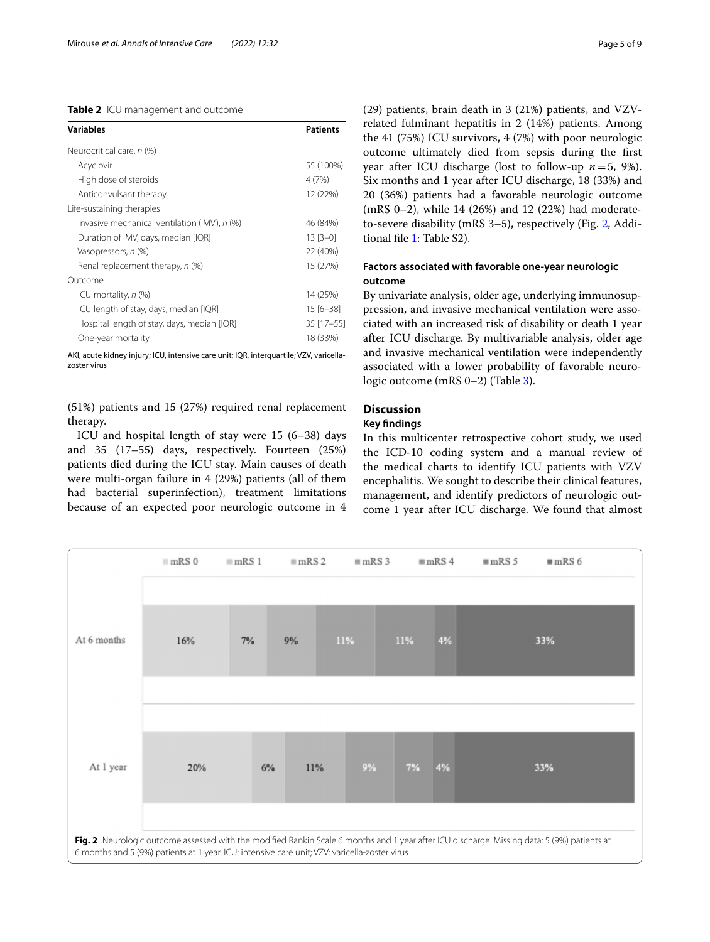## <span id="page-4-0"></span>**Table 2** ICU management and outcome

| <b>Variables</b>                             | <b>Patients</b> |
|----------------------------------------------|-----------------|
| Neurocritical care, n (%)                    |                 |
| Acyclovir                                    | 55 (100%)       |
| High dose of steroids                        | 4(7%)           |
| Anticonvulsant therapy                       | 12 (22%)        |
| Life-sustaining therapies                    |                 |
| Invasive mechanical ventilation (IMV), n (%) | 46 (84%)        |
| Duration of IMV, days, median [IQR]          | $13[3-0]$       |
| Vasopressors, n (%)                          | 22 (40%)        |
| Renal replacement therapy, n (%)             | 15 (27%)        |
| Outcome                                      |                 |
| ICU mortality, <i>n</i> (%)                  | 14 (25%)        |
| ICU length of stay, days, median [IQR]       | $15[6 - 38]$    |
| Hospital length of stay, days, median [IQR]  | 35 [17-55]      |
| One-year mortality                           | 18 (33%)        |

AKI, acute kidney injury; ICU, intensive care unit; IQR, interquartile; VZV, varicellazoster virus

(51%) patients and 15 (27%) required renal replacement therapy.

ICU and hospital length of stay were 15 (6–38) days and 35 (17–55) days, respectively. Fourteen (25%) patients died during the ICU stay. Main causes of death were multi-organ failure in 4 (29%) patients (all of them had bacterial superinfection), treatment limitations because of an expected poor neurologic outcome in 4 (29) patients, brain death in 3 (21%) patients, and VZVrelated fulminant hepatitis in 2 (14%) patients. Among the 41 (75%) ICU survivors, 4 (7%) with poor neurologic outcome ultimately died from sepsis during the frst year after ICU discharge (lost to follow-up *n*=5, 9%). Six months and 1 year after ICU discharge, 18 (33%) and 20 (36%) patients had a favorable neurologic outcome (mRS 0–2), while 14 (26%) and 12 (22%) had moderateto-severe disability (mRS 3–5), respectively (Fig. [2](#page-4-1), Additional fle [1](#page-7-2): Table S2).

# **Factors associated with favorable one‑year neurologic outcome**

By univariate analysis, older age, underlying immunosuppression, and invasive mechanical ventilation were associated with an increased risk of disability or death 1 year after ICU discharge. By multivariable analysis, older age and invasive mechanical ventilation were independently associated with a lower probability of favorable neurologic outcome (mRS 0–2) (Table [3\)](#page-5-0).

# **Discussion**

# **Key fndings**

In this multicenter retrospective cohort study, we used the ICD-10 coding system and a manual review of the medical charts to identify ICU patients with VZV encephalitis. We sought to describe their clinical features, management, and identify predictors of neurologic outcome 1 year after ICU discharge. We found that almost

<span id="page-4-1"></span>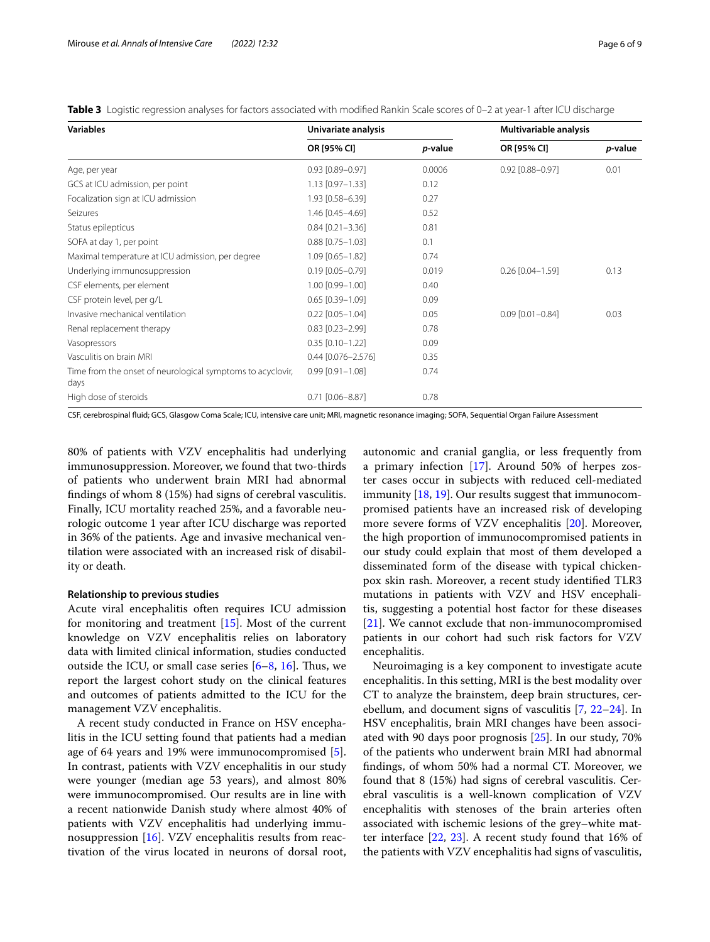<span id="page-5-0"></span>

|  |  |  | Table 3 Logistic regression analyses for factors associated with modified Rankin Scale scores of 0-2 at year-1 after ICU discharge |  |  |  |  |  |  |  |  |  |  |
|--|--|--|------------------------------------------------------------------------------------------------------------------------------------|--|--|--|--|--|--|--|--|--|--|
|--|--|--|------------------------------------------------------------------------------------------------------------------------------------|--|--|--|--|--|--|--|--|--|--|

| <b>Variables</b>                                                   | Univariate analysis    |         | Multivariable analysis |         |
|--------------------------------------------------------------------|------------------------|---------|------------------------|---------|
|                                                                    | OR [95% CI]            | p-value | OR [95% CI]            | p-value |
| Age, per year                                                      | $0.93$ $[0.89 - 0.97]$ | 0.0006  | 0.92 [0.88-0.97]       | 0.01    |
| GCS at ICU admission, per point                                    | $1.13$ [0.97-1.33]     | 0.12    |                        |         |
| Focalization sign at ICU admission                                 | 1.93 [0.58-6.39]       | 0.27    |                        |         |
| Seizures                                                           | 1.46 [0.45-4.69]       | 0.52    |                        |         |
| Status epilepticus                                                 | $0.84$ [0.21-3.36]     | 0.81    |                        |         |
| SOFA at day 1, per point                                           | $0.88$ [0.75-1.03]     | 0.1     |                        |         |
| Maximal temperature at ICU admission, per degree                   | $1.09$ [0.65-1.82]     | 0.74    |                        |         |
| Underlying immunosuppression                                       | $0.19$ [0.05-0.79]     | 0.019   | $0.26$ $[0.04 - 1.59]$ | 0.13    |
| CSF elements, per element                                          | 1.00 [0.99-1.00]       | 0.40    |                        |         |
| CSF protein level, per g/L                                         | $0.65$ [0.39-1.09]     | 0.09    |                        |         |
| Invasive mechanical ventilation                                    | $0.22$ $[0.05 - 1.04]$ | 0.05    | $0.09$ $[0.01 - 0.84]$ | 0.03    |
| Renal replacement therapy                                          | $0.83$ $[0.23 - 2.99]$ | 0.78    |                        |         |
| Vasopressors                                                       | $0.35$ $[0.10 - 1.22]$ | 0.09    |                        |         |
| Vasculitis on brain MRI                                            | $0.44$ [0.076-2.576]   | 0.35    |                        |         |
| Time from the onset of neurological symptoms to acyclovir,<br>days | $0.99$ $[0.91 - 1.08]$ | 0.74    |                        |         |
| High dose of steroids                                              | $0.71$ $[0.06 - 8.87]$ | 0.78    |                        |         |

CSF, cerebrospinal fuid; GCS, Glasgow Coma Scale; ICU, intensive care unit; MRI, magnetic resonance imaging; SOFA, Sequential Organ Failure Assessment

80% of patients with VZV encephalitis had underlying immunosuppression. Moreover, we found that two-thirds of patients who underwent brain MRI had abnormal fndings of whom 8 (15%) had signs of cerebral vasculitis. Finally, ICU mortality reached 25%, and a favorable neurologic outcome 1 year after ICU discharge was reported in 36% of the patients. Age and invasive mechanical ventilation were associated with an increased risk of disability or death.

#### **Relationship to previous studies**

Acute viral encephalitis often requires ICU admission for monitoring and treatment [\[15\]](#page-8-10). Most of the current knowledge on VZV encephalitis relies on laboratory data with limited clinical information, studies conducted outside the ICU, or small case series  $[6-8, 16]$  $[6-8, 16]$  $[6-8, 16]$  $[6-8, 16]$ . Thus, we report the largest cohort study on the clinical features and outcomes of patients admitted to the ICU for the management VZV encephalitis.

A recent study conducted in France on HSV encephalitis in the ICU setting found that patients had a median age of 64 years and 19% were immunocompromised [\[5](#page-8-2)]. In contrast, patients with VZV encephalitis in our study were younger (median age 53 years), and almost 80% were immunocompromised. Our results are in line with a recent nationwide Danish study where almost 40% of patients with VZV encephalitis had underlying immunosuppression [[16](#page-8-12)]. VZV encephalitis results from reactivation of the virus located in neurons of dorsal root,

autonomic and cranial ganglia, or less frequently from a primary infection [[17\]](#page-8-13). Around 50% of herpes zoster cases occur in subjects with reduced cell-mediated immunity [\[18](#page-8-14), [19\]](#page-8-15). Our results suggest that immunocompromised patients have an increased risk of developing more severe forms of VZV encephalitis [[20\]](#page-8-16). Moreover, the high proportion of immunocompromised patients in our study could explain that most of them developed a disseminated form of the disease with typical chickenpox skin rash. Moreover, a recent study identifed TLR3 mutations in patients with VZV and HSV encephalitis, suggesting a potential host factor for these diseases [[21\]](#page-8-17). We cannot exclude that non-immunocompromised patients in our cohort had such risk factors for VZV encephalitis.

Neuroimaging is a key component to investigate acute encephalitis. In this setting, MRI is the best modality over CT to analyze the brainstem, deep brain structures, cerebellum, and document signs of vasculitis [\[7](#page-8-18), [22](#page-8-19)[–24](#page-8-20)]. In HSV encephalitis, brain MRI changes have been associated with 90 days poor prognosis [\[25](#page-8-21)]. In our study, 70% of the patients who underwent brain MRI had abnormal fndings, of whom 50% had a normal CT. Moreover, we found that 8 (15%) had signs of cerebral vasculitis. Cerebral vasculitis is a well-known complication of VZV encephalitis with stenoses of the brain arteries often associated with ischemic lesions of the grey–white matter interface [\[22](#page-8-19), [23\]](#page-8-22). A recent study found that 16% of the patients with VZV encephalitis had signs of vasculitis,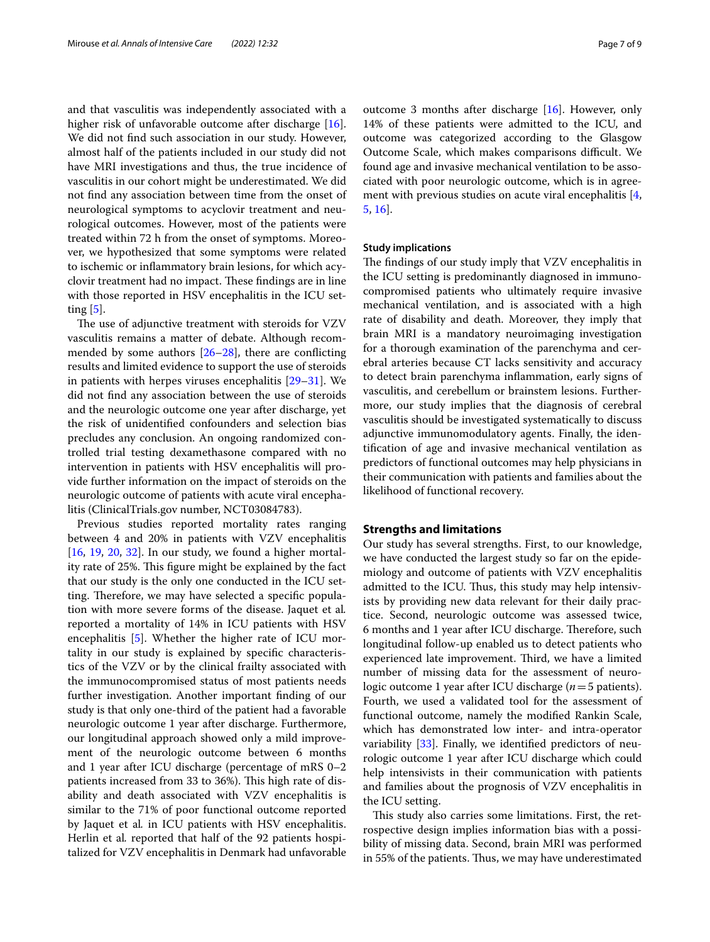and that vasculitis was independently associated with a higher risk of unfavorable outcome after discharge [\[16](#page-8-12)]. We did not fnd such association in our study. However, almost half of the patients included in our study did not have MRI investigations and thus, the true incidence of vasculitis in our cohort might be underestimated. We did not fnd any association between time from the onset of neurological symptoms to acyclovir treatment and neurological outcomes. However, most of the patients were treated within 72 h from the onset of symptoms. Moreover, we hypothesized that some symptoms were related to ischemic or infammatory brain lesions, for which acyclovir treatment had no impact. These findings are in line with those reported in HSV encephalitis in the ICU setting [\[5](#page-8-2)].

The use of adjunctive treatment with steroids for VZV vasculitis remains a matter of debate. Although recommended by some authors  $[26-28]$  $[26-28]$  $[26-28]$ , there are conflicting results and limited evidence to support the use of steroids in patients with herpes viruses encephalitis [[29](#page-8-25)[–31](#page-8-26)]. We did not fnd any association between the use of steroids and the neurologic outcome one year after discharge, yet the risk of unidentifed confounders and selection bias precludes any conclusion. An ongoing randomized controlled trial testing dexamethasone compared with no intervention in patients with HSV encephalitis will provide further information on the impact of steroids on the neurologic outcome of patients with acute viral encephalitis (ClinicalTrials.gov number, NCT03084783).

Previous studies reported mortality rates ranging between 4 and 20% in patients with VZV encephalitis [[16,](#page-8-12) [19,](#page-8-15) [20](#page-8-16), [32](#page-8-27)]. In our study, we found a higher mortality rate of 25%. This figure might be explained by the fact that our study is the only one conducted in the ICU setting. Therefore, we may have selected a specific population with more severe forms of the disease. Jaquet et al*.* reported a mortality of 14% in ICU patients with HSV encephalitis [[5\]](#page-8-2). Whether the higher rate of ICU mortality in our study is explained by specifc characteristics of the VZV or by the clinical frailty associated with the immunocompromised status of most patients needs further investigation. Another important fnding of our study is that only one-third of the patient had a favorable neurologic outcome 1 year after discharge. Furthermore, our longitudinal approach showed only a mild improvement of the neurologic outcome between 6 months and 1 year after ICU discharge (percentage of mRS 0–2 patients increased from 33 to 36%). This high rate of disability and death associated with VZV encephalitis is similar to the 71% of poor functional outcome reported by Jaquet et al*.* in ICU patients with HSV encephalitis. Herlin et al*.* reported that half of the 92 patients hospitalized for VZV encephalitis in Denmark had unfavorable outcome 3 months after discharge [[16\]](#page-8-12). However, only 14% of these patients were admitted to the ICU, and outcome was categorized according to the Glasgow Outcome Scale, which makes comparisons difficult. We found age and invasive mechanical ventilation to be associated with poor neurologic outcome, which is in agree-ment with previous studies on acute viral encephalitis [\[4](#page-8-1), [5,](#page-8-2) [16](#page-8-12)].

#### **Study implications**

The findings of our study imply that VZV encephalitis in the ICU setting is predominantly diagnosed in immunocompromised patients who ultimately require invasive mechanical ventilation, and is associated with a high rate of disability and death. Moreover, they imply that brain MRI is a mandatory neuroimaging investigation for a thorough examination of the parenchyma and cerebral arteries because CT lacks sensitivity and accuracy to detect brain parenchyma infammation, early signs of vasculitis, and cerebellum or brainstem lesions. Furthermore, our study implies that the diagnosis of cerebral vasculitis should be investigated systematically to discuss adjunctive immunomodulatory agents. Finally, the identifcation of age and invasive mechanical ventilation as predictors of functional outcomes may help physicians in their communication with patients and families about the likelihood of functional recovery.

## **Strengths and limitations**

Our study has several strengths. First, to our knowledge, we have conducted the largest study so far on the epidemiology and outcome of patients with VZV encephalitis admitted to the ICU. Thus, this study may help intensivists by providing new data relevant for their daily practice. Second, neurologic outcome was assessed twice, 6 months and 1 year after ICU discharge. Therefore, such longitudinal follow-up enabled us to detect patients who experienced late improvement. Third, we have a limited number of missing data for the assessment of neurologic outcome 1 year after ICU discharge (*n*=5 patients). Fourth, we used a validated tool for the assessment of functional outcome, namely the modifed Rankin Scale, which has demonstrated low inter- and intra-operator variability [\[33](#page-8-28)]. Finally, we identifed predictors of neurologic outcome 1 year after ICU discharge which could help intensivists in their communication with patients and families about the prognosis of VZV encephalitis in the ICU setting.

This study also carries some limitations. First, the retrospective design implies information bias with a possibility of missing data. Second, brain MRI was performed in 55% of the patients. Thus, we may have underestimated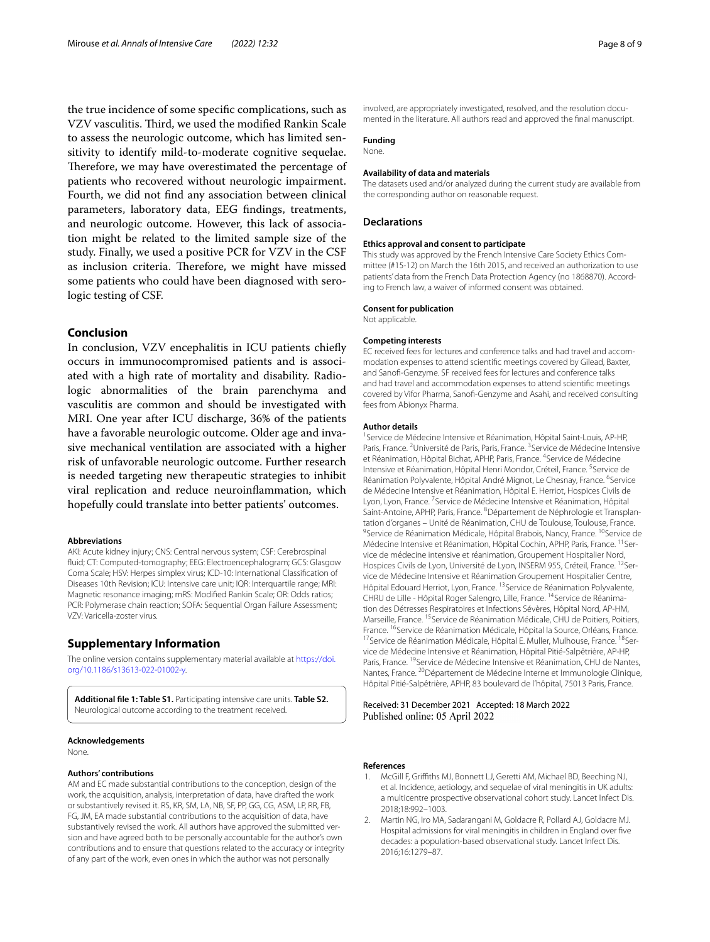the true incidence of some specifc complications, such as VZV vasculitis. Third, we used the modified Rankin Scale to assess the neurologic outcome, which has limited sensitivity to identify mild-to-moderate cognitive sequelae. Therefore, we may have overestimated the percentage of patients who recovered without neurologic impairment. Fourth, we did not fnd any association between clinical parameters, laboratory data, EEG fndings, treatments, and neurologic outcome. However, this lack of association might be related to the limited sample size of the study. Finally, we used a positive PCR for VZV in the CSF as inclusion criteria. Therefore, we might have missed some patients who could have been diagnosed with serologic testing of CSF.

# **Conclusion**

In conclusion, VZV encephalitis in ICU patients chiefy occurs in immunocompromised patients and is associated with a high rate of mortality and disability. Radiologic abnormalities of the brain parenchyma and vasculitis are common and should be investigated with MRI. One year after ICU discharge, 36% of the patients have a favorable neurologic outcome. Older age and invasive mechanical ventilation are associated with a higher risk of unfavorable neurologic outcome. Further research is needed targeting new therapeutic strategies to inhibit viral replication and reduce neuroinfammation, which hopefully could translate into better patients' outcomes.

#### **Abbreviations**

AKI: Acute kidney injury; CNS: Central nervous system; CSF: Cerebrospinal fuid; CT: Computed-tomography; EEG: Electroencephalogram; GCS: Glasgow Coma Scale; HSV: Herpes simplex virus; ICD-10: International Classifcation of Diseases 10th Revision; ICU: Intensive care unit; IQR: Interquartile range; MRI: Magnetic resonance imaging; mRS: Modifed Rankin Scale; OR: Odds ratios; PCR: Polymerase chain reaction; SOFA: Sequential Organ Failure Assessment; VZV: Varicella-zoster virus.

# **Supplementary Information**

The online version contains supplementary material available at [https://doi.](https://doi.org/10.1186/s13613-022-01002-y) [org/10.1186/s13613-022-01002-y.](https://doi.org/10.1186/s13613-022-01002-y)

<span id="page-7-2"></span>**Additional fle 1: Table S1.** Participating intensive care units. **Table S2.** Neurological outcome according to the treatment received.

#### **Acknowledgements**

None.

#### **Authors' contributions**

AM and EC made substantial contributions to the conception, design of the work, the acquisition, analysis, interpretation of data, have drafted the work or substantively revised it. RS, KR, SM, LA, NB, SF, PP, GG, CG, ASM, LP, RR, FB, FG, JM, EA made substantial contributions to the acquisition of data, have substantively revised the work. All authors have approved the submitted version and have agreed both to be personally accountable for the author's own contributions and to ensure that questions related to the accuracy or integrity of any part of the work, even ones in which the author was not personally

involved, are appropriately investigated, resolved, and the resolution documented in the literature. All authors read and approved the fnal manuscript.

# **Funding**

#### None.

#### **Availability of data and materials**

The datasets used and/or analyzed during the current study are available from the corresponding author on reasonable request.

#### **Declarations**

#### **Ethics approval and consent to participate**

This study was approved by the French Intensive Care Society Ethics Committee (#15-12) on March the 16th 2015, and received an authorization to use patients' data from the French Data Protection Agency (no 1868870). According to French law, a waiver of informed consent was obtained.

#### **Consent for publication**

Not applicable.

#### **Competing interests**

EC received fees for lectures and conference talks and had travel and accommodation expenses to attend scientifc meetings covered by Gilead, Baxter, and Sanof-Genzyme. SF received fees for lectures and conference talks and had travel and accommodation expenses to attend scientifc meetings covered by Vifor Pharma, Sanof-Genzyme and Asahi, and received consulting fees from Abionyx Pharma.

#### **Author details**

<sup>1</sup> Service de Médecine Intensive et Réanimation, Hôpital Saint-Louis, AP-HP, Paris, France.<sup>2</sup> Université de Paris, Paris, France.<sup>3</sup> Service de Médecine Intensive et Réanimation, Hôpital Bichat, APHP, Paris, France. <sup>4</sup>Service de Médecine Intensive et Réanimation, Hôpital Henri Mondor, Créteil, France. <sup>5</sup>Service de Réanimation Polyvalente, Hôpital André Mignot, Le Chesnay, France. <sup>6</sup>Service de Médecine Intensive et Réanimation, Hôpital E. Herriot, Hospices Civils de Lyon, Lyon, France.<sup>7</sup> Service de Médecine Intensive et Réanimation, Hôpital Saint-Antoine, APHP, Paris, France. <sup>8</sup> Département de Néphrologie et Transplantation d'organes – Unité de Réanimation, CHU de Toulouse, Toulouse, France. <sup>9</sup>Service de Réanimation Médicale, Hôpital Brabois, Nancy, France. <sup>10</sup>Service de Médecine Intensive et Réanimation, Hôpital Cochin, APHP, Paris, France. <sup>11</sup>Service de médecine intensive et réanimation, Groupement Hospitalier Nord, Hospices Civils de Lyon, Université de Lyon, INSERM 955, Créteil, France. <sup>12</sup>Service de Médecine Intensive et Réanimation Groupement Hospitalier Centre, Hôpital Edouard Herriot, Lyon, France. 13Service de Réanimation Polyvalente, CHRU de Lille - Hôpital Roger Salengro, Lille, France. <sup>14</sup>Service de Réanimation des Détresses Respiratoires et Infections Sévères, Hôpital Nord, AP-HM, Marseille, France. 15Service de Réanimation Médicale, CHU de Poitiers, Poitiers, France. <sup>16</sup>Service de Réanimation Médicale, Hôpital la Source, Orléans, France.<br><sup>17</sup>Service de Réanimation Médicale, Hôpital E. Muller, Mulhouse, France. <sup>18</sup>Ser‑ vice de Médecine Intensive et Réanimation, Hôpital Pitié-Salpêtrière, AP-HP, Paris, France. <sup>19</sup>Service de Médecine Intensive et Réanimation, CHU de Nantes, Nantes, France. 20Département de Médecine Interne et Immunologie Clinique, Hôpital Pitié-Salpêtrière, APHP, 83 boulevard de l'hôpital, 75013 Paris, France.

Received: 31 December 2021 Accepted: 18 March 2022 Published online: 05 April 2022

#### **References**

- <span id="page-7-0"></span>1. McGill F, Grifths MJ, Bonnett LJ, Geretti AM, Michael BD, Beeching NJ, et al. Incidence, aetiology, and sequelae of viral meningitis in UK adults: a multicentre prospective observational cohort study. Lancet Infect Dis. 2018;18:992–1003.
- <span id="page-7-1"></span>2. Martin NG, Iro MA, Sadarangani M, Goldacre R, Pollard AJ, Goldacre MJ. Hospital admissions for viral meningitis in children in England over fve decades: a population-based observational study. Lancet Infect Dis. 2016;16:1279–87.